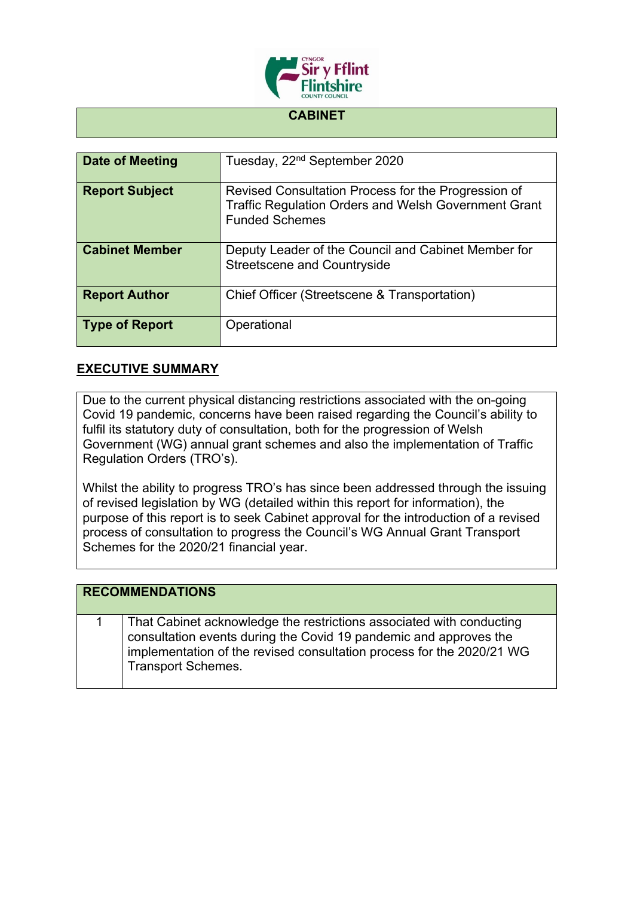

## **CABINET**

| Date of Meeting       | Tuesday, 22 <sup>nd</sup> September 2020                                                                                                    |
|-----------------------|---------------------------------------------------------------------------------------------------------------------------------------------|
| <b>Report Subject</b> | Revised Consultation Process for the Progression of<br><b>Traffic Regulation Orders and Welsh Government Grant</b><br><b>Funded Schemes</b> |
| <b>Cabinet Member</b> | Deputy Leader of the Council and Cabinet Member for<br><b>Streetscene and Countryside</b>                                                   |
| <b>Report Author</b>  | Chief Officer (Streetscene & Transportation)                                                                                                |
| <b>Type of Report</b> | Operational                                                                                                                                 |

## **EXECUTIVE SUMMARY**

Due to the current physical distancing restrictions associated with the on-going Covid 19 pandemic, concerns have been raised regarding the Council's ability to fulfil its statutory duty of consultation, both for the progression of Welsh Government (WG) annual grant schemes and also the implementation of Traffic Regulation Orders (TRO's).

Whilst the ability to progress TRO's has since been addressed through the issuing of revised legislation by WG (detailed within this report for information), the purpose of this report is to seek Cabinet approval for the introduction of a revised process of consultation to progress the Council's WG Annual Grant Transport Schemes for the 2020/21 financial year.

## **RECOMMENDATIONS**

1 That Cabinet acknowledge the restrictions associated with conducting consultation events during the Covid 19 pandemic and approves the implementation of the revised consultation process for the 2020/21 WG Transport Schemes.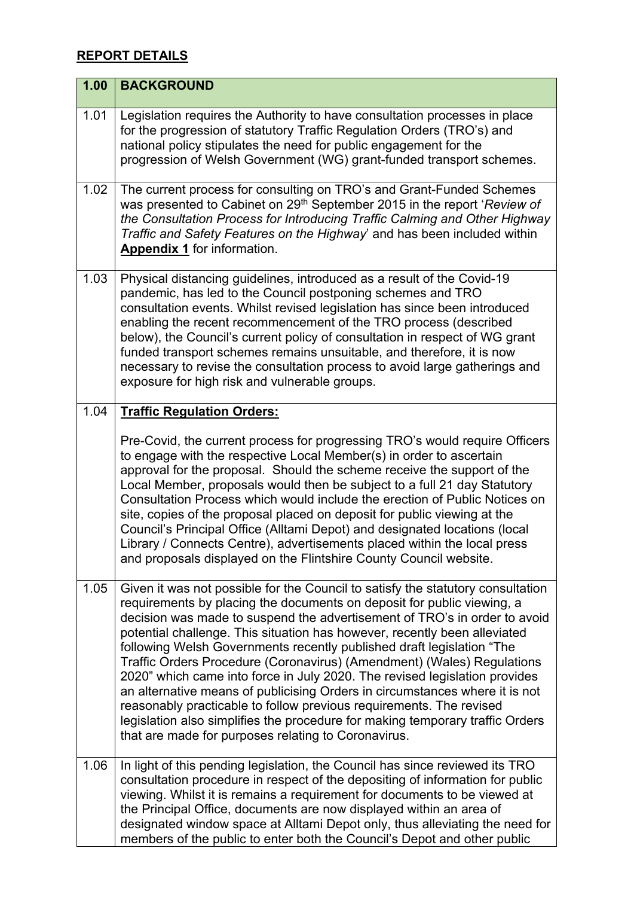## **REPORT DETAILS**

| 1.00 | <b>BACKGROUND</b>                                                                                                                                                                                                                                                                                                                                                                                                                                                                                                                                                                                                                                                                                                                                                                                                                                  |
|------|----------------------------------------------------------------------------------------------------------------------------------------------------------------------------------------------------------------------------------------------------------------------------------------------------------------------------------------------------------------------------------------------------------------------------------------------------------------------------------------------------------------------------------------------------------------------------------------------------------------------------------------------------------------------------------------------------------------------------------------------------------------------------------------------------------------------------------------------------|
| 1.01 | Legislation requires the Authority to have consultation processes in place<br>for the progression of statutory Traffic Regulation Orders (TRO's) and<br>national policy stipulates the need for public engagement for the<br>progression of Welsh Government (WG) grant-funded transport schemes.                                                                                                                                                                                                                                                                                                                                                                                                                                                                                                                                                  |
| 1.02 | The current process for consulting on TRO's and Grant-Funded Schemes<br>was presented to Cabinet on 29 <sup>th</sup> September 2015 in the report 'Review of<br>the Consultation Process for Introducing Traffic Calming and Other Highway<br>Traffic and Safety Features on the Highway' and has been included within<br>Appendix 1 for information.                                                                                                                                                                                                                                                                                                                                                                                                                                                                                              |
| 1.03 | Physical distancing guidelines, introduced as a result of the Covid-19<br>pandemic, has led to the Council postponing schemes and TRO<br>consultation events. Whilst revised legislation has since been introduced<br>enabling the recent recommencement of the TRO process (described<br>below), the Council's current policy of consultation in respect of WG grant<br>funded transport schemes remains unsuitable, and therefore, it is now<br>necessary to revise the consultation process to avoid large gatherings and<br>exposure for high risk and vulnerable groups.                                                                                                                                                                                                                                                                      |
| 1.04 | <b>Traffic Regulation Orders:</b>                                                                                                                                                                                                                                                                                                                                                                                                                                                                                                                                                                                                                                                                                                                                                                                                                  |
|      | Pre-Covid, the current process for progressing TRO's would require Officers<br>to engage with the respective Local Member(s) in order to ascertain<br>approval for the proposal. Should the scheme receive the support of the<br>Local Member, proposals would then be subject to a full 21 day Statutory<br>Consultation Process which would include the erection of Public Notices on<br>site, copies of the proposal placed on deposit for public viewing at the<br>Council's Principal Office (Alltami Depot) and designated locations (local<br>Library / Connects Centre), advertisements placed within the local press<br>and proposals displayed on the Flintshire County Council website.                                                                                                                                                 |
| 1.05 | Given it was not possible for the Council to satisfy the statutory consultation<br>requirements by placing the documents on deposit for public viewing, a<br>decision was made to suspend the advertisement of TRO's in order to avoid<br>potential challenge. This situation has however, recently been alleviated<br>following Welsh Governments recently published draft legislation "The<br>Traffic Orders Procedure (Coronavirus) (Amendment) (Wales) Regulations<br>2020" which came into force in July 2020. The revised legislation provides<br>an alternative means of publicising Orders in circumstances where it is not<br>reasonably practicable to follow previous requirements. The revised<br>legislation also simplifies the procedure for making temporary traffic Orders<br>that are made for purposes relating to Coronavirus. |
| 1.06 | In light of this pending legislation, the Council has since reviewed its TRO<br>consultation procedure in respect of the depositing of information for public<br>viewing. Whilst it is remains a requirement for documents to be viewed at<br>the Principal Office, documents are now displayed within an area of<br>designated window space at Alltami Depot only, thus alleviating the need for<br>members of the public to enter both the Council's Depot and other public                                                                                                                                                                                                                                                                                                                                                                      |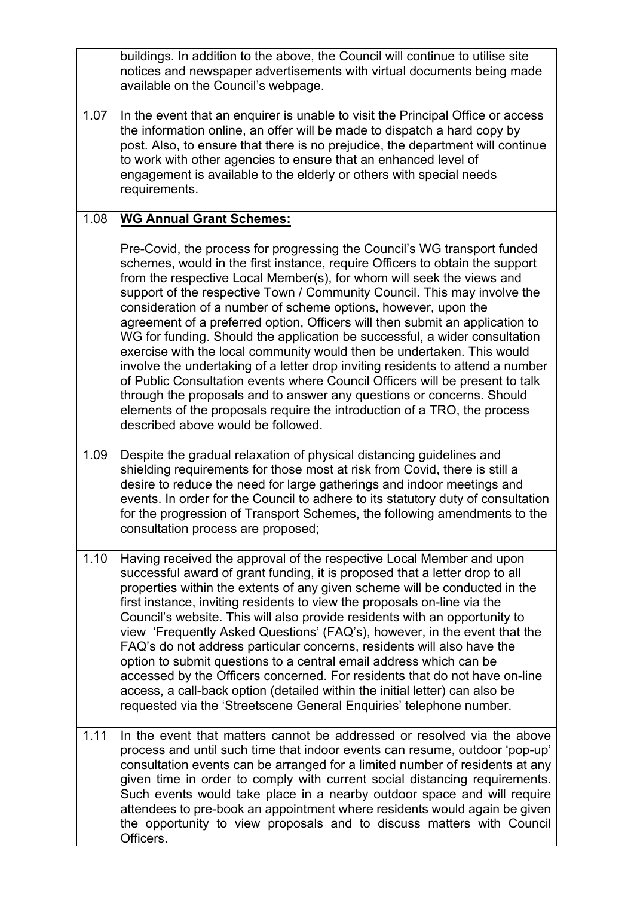|      | buildings. In addition to the above, the Council will continue to utilise site<br>notices and newspaper advertisements with virtual documents being made<br>available on the Council's webpage.                                                                                                                                                                                                                                                                                                                                                                                                                                                                                                                                                                                                                                                                                                                                                                                      |
|------|--------------------------------------------------------------------------------------------------------------------------------------------------------------------------------------------------------------------------------------------------------------------------------------------------------------------------------------------------------------------------------------------------------------------------------------------------------------------------------------------------------------------------------------------------------------------------------------------------------------------------------------------------------------------------------------------------------------------------------------------------------------------------------------------------------------------------------------------------------------------------------------------------------------------------------------------------------------------------------------|
| 1.07 | In the event that an enquirer is unable to visit the Principal Office or access<br>the information online, an offer will be made to dispatch a hard copy by<br>post. Also, to ensure that there is no prejudice, the department will continue<br>to work with other agencies to ensure that an enhanced level of<br>engagement is available to the elderly or others with special needs<br>requirements.                                                                                                                                                                                                                                                                                                                                                                                                                                                                                                                                                                             |
| 1.08 | <b>WG Annual Grant Schemes:</b>                                                                                                                                                                                                                                                                                                                                                                                                                                                                                                                                                                                                                                                                                                                                                                                                                                                                                                                                                      |
|      | Pre-Covid, the process for progressing the Council's WG transport funded<br>schemes, would in the first instance, require Officers to obtain the support<br>from the respective Local Member(s), for whom will seek the views and<br>support of the respective Town / Community Council. This may involve the<br>consideration of a number of scheme options, however, upon the<br>agreement of a preferred option, Officers will then submit an application to<br>WG for funding. Should the application be successful, a wider consultation<br>exercise with the local community would then be undertaken. This would<br>involve the undertaking of a letter drop inviting residents to attend a number<br>of Public Consultation events where Council Officers will be present to talk<br>through the proposals and to answer any questions or concerns. Should<br>elements of the proposals require the introduction of a TRO, the process<br>described above would be followed. |
| 1.09 | Despite the gradual relaxation of physical distancing guidelines and<br>shielding requirements for those most at risk from Covid, there is still a<br>desire to reduce the need for large gatherings and indoor meetings and<br>events. In order for the Council to adhere to its statutory duty of consultation<br>for the progression of Transport Schemes, the following amendments to the<br>consultation process are proposed;                                                                                                                                                                                                                                                                                                                                                                                                                                                                                                                                                  |
| 1.10 | Having received the approval of the respective Local Member and upon<br>successful award of grant funding, it is proposed that a letter drop to all<br>properties within the extents of any given scheme will be conducted in the<br>first instance, inviting residents to view the proposals on-line via the<br>Council's website. This will also provide residents with an opportunity to<br>view 'Frequently Asked Questions' (FAQ's), however, in the event that the<br>FAQ's do not address particular concerns, residents will also have the<br>option to submit questions to a central email address which can be<br>accessed by the Officers concerned. For residents that do not have on-line<br>access, a call-back option (detailed within the initial letter) can also be<br>requested via the 'Streetscene General Enquiries' telephone number.                                                                                                                         |
| 1.11 | In the event that matters cannot be addressed or resolved via the above<br>process and until such time that indoor events can resume, outdoor 'pop-up'<br>consultation events can be arranged for a limited number of residents at any<br>given time in order to comply with current social distancing requirements.<br>Such events would take place in a nearby outdoor space and will require<br>attendees to pre-book an appointment where residents would again be given<br>the opportunity to view proposals and to discuss matters with Council<br>Officers.                                                                                                                                                                                                                                                                                                                                                                                                                   |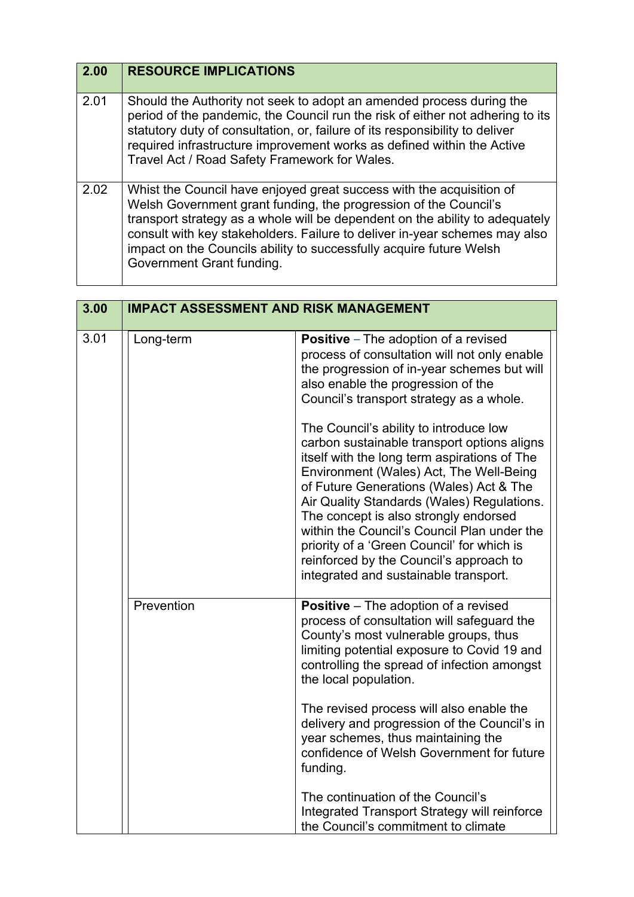| 2.00 | <b>RESOURCE IMPLICATIONS</b>                                                                                                                                                                                                                                                                                                                                                                               |
|------|------------------------------------------------------------------------------------------------------------------------------------------------------------------------------------------------------------------------------------------------------------------------------------------------------------------------------------------------------------------------------------------------------------|
| 2.01 | Should the Authority not seek to adopt an amended process during the<br>period of the pandemic, the Council run the risk of either not adhering to its<br>statutory duty of consultation, or, failure of its responsibility to deliver<br>required infrastructure improvement works as defined within the Active<br>Travel Act / Road Safety Framework for Wales.                                          |
| 2.02 | Whist the Council have enjoyed great success with the acquisition of<br>Welsh Government grant funding, the progression of the Council's<br>transport strategy as a whole will be dependent on the ability to adequately<br>consult with key stakeholders. Failure to deliver in-year schemes may also<br>impact on the Councils ability to successfully acquire future Welsh<br>Government Grant funding. |

| 3.00 | <b>IMPACT ASSESSMENT AND RISK MANAGEMENT</b> |                                                                                                                                                                                                                                                                                                                                                                                                                                                                                                     |
|------|----------------------------------------------|-----------------------------------------------------------------------------------------------------------------------------------------------------------------------------------------------------------------------------------------------------------------------------------------------------------------------------------------------------------------------------------------------------------------------------------------------------------------------------------------------------|
| 3.01 | Long-term                                    | <b>Positive</b> – The adoption of a revised<br>process of consultation will not only enable<br>the progression of in-year schemes but will<br>also enable the progression of the<br>Council's transport strategy as a whole.                                                                                                                                                                                                                                                                        |
|      |                                              | The Council's ability to introduce low<br>carbon sustainable transport options aligns<br>itself with the long term aspirations of The<br>Environment (Wales) Act, The Well-Being<br>of Future Generations (Wales) Act & The<br>Air Quality Standards (Wales) Regulations.<br>The concept is also strongly endorsed<br>within the Council's Council Plan under the<br>priority of a 'Green Council' for which is<br>reinforced by the Council's approach to<br>integrated and sustainable transport. |
|      | Prevention                                   | <b>Positive</b> – The adoption of a revised<br>process of consultation will safeguard the<br>County's most vulnerable groups, thus<br>limiting potential exposure to Covid 19 and<br>controlling the spread of infection amongst<br>the local population.                                                                                                                                                                                                                                           |
|      |                                              | The revised process will also enable the<br>delivery and progression of the Council's in<br>year schemes, thus maintaining the<br>confidence of Welsh Government for future<br>funding.                                                                                                                                                                                                                                                                                                             |
|      |                                              | The continuation of the Council's<br>Integrated Transport Strategy will reinforce<br>the Council's commitment to climate                                                                                                                                                                                                                                                                                                                                                                            |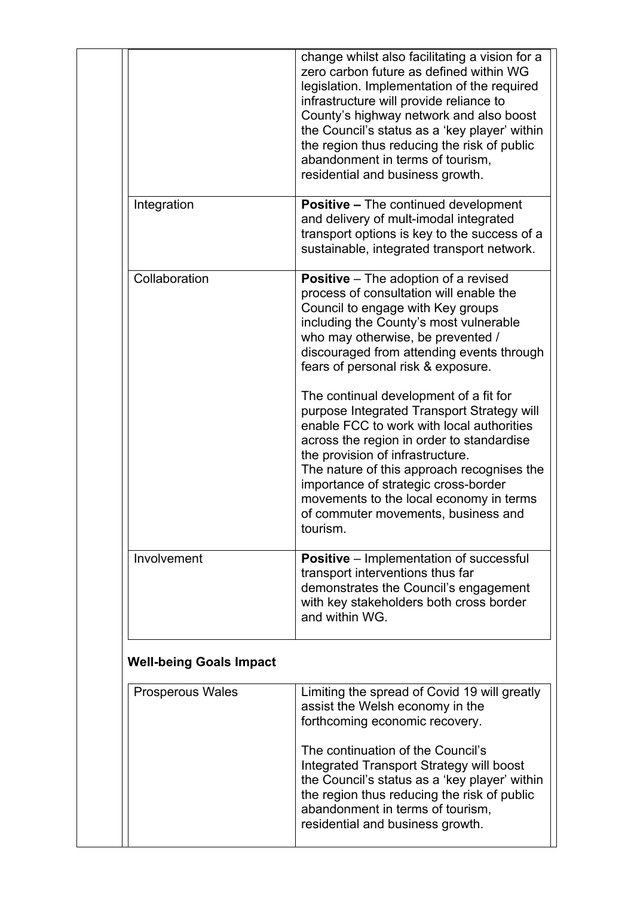|                                | change whilst also facilitating a vision for a<br>zero carbon future as defined within WG<br>legislation. Implementation of the required<br>infrastructure will provide reliance to<br>County's highway network and also boost<br>the Council's status as a 'key player' within<br>the region thus reducing the risk of public<br>abandonment in terms of tourism.<br>residential and business growth. |
|--------------------------------|--------------------------------------------------------------------------------------------------------------------------------------------------------------------------------------------------------------------------------------------------------------------------------------------------------------------------------------------------------------------------------------------------------|
| Integration                    | <b>Positive – The continued development</b><br>and delivery of mult-imodal integrated<br>transport options is key to the success of a<br>sustainable, integrated transport network.                                                                                                                                                                                                                    |
| Collaboration                  | <b>Positive</b> – The adoption of a revised<br>process of consultation will enable the<br>Council to engage with Key groups<br>including the County's most vulnerable<br>who may otherwise, be prevented /<br>discouraged from attending events through<br>fears of personal risk & exposure.                                                                                                          |
|                                | The continual development of a fit for<br>purpose Integrated Transport Strategy will<br>enable FCC to work with local authorities<br>across the region in order to standardise<br>the provision of infrastructure.<br>The nature of this approach recognises the<br>importance of strategic cross-border<br>movements to the local economy in terms<br>of commuter movements, business and<br>tourism. |
| Involvement                    | <b>Positive</b> – Implementation of successful<br>transport interventions thus far<br>demonstrates the Council's engagement<br>with key stakeholders both cross border<br>and within WG.                                                                                                                                                                                                               |
| <b>Well-being Goals Impact</b> |                                                                                                                                                                                                                                                                                                                                                                                                        |
| Prosperous Wales               | Limiting the spread of Covid 19 will greatly<br>assist the Welsh economy in the<br>forthcoming economic recovery.                                                                                                                                                                                                                                                                                      |
|                                | The continuation of the Council's<br>Integrated Transport Strategy will boost<br>the Council's status as a 'key player' within<br>the region thus reducing the risk of public<br>abandonment in terms of tourism.<br>residential and business growth.                                                                                                                                                  |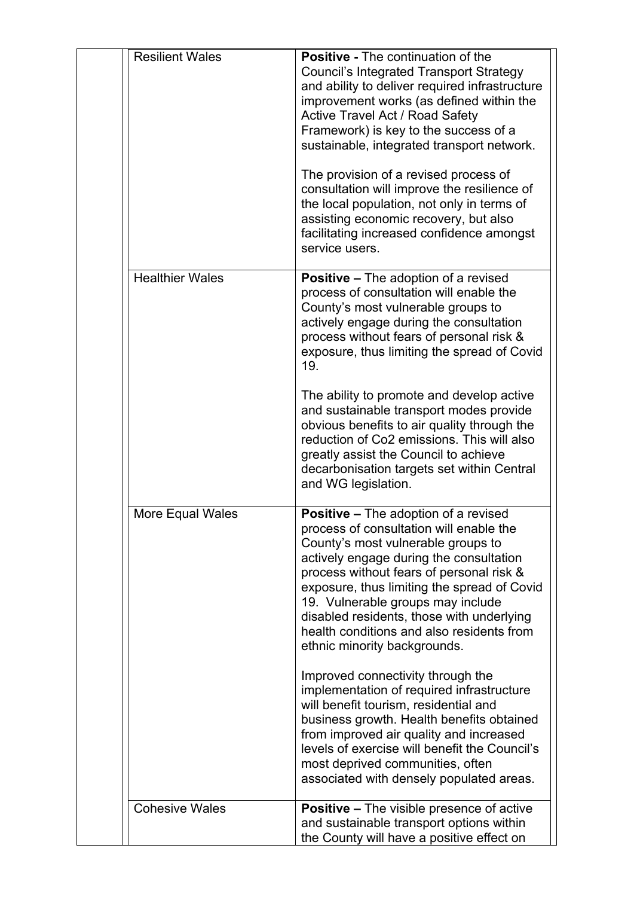| <b>Resilient Wales</b> | <b>Positive - The continuation of the</b><br><b>Council's Integrated Transport Strategy</b><br>and ability to deliver required infrastructure<br>improvement works (as defined within the<br><b>Active Travel Act / Road Safety</b><br>Framework) is key to the success of a<br>sustainable, integrated transport network.<br>The provision of a revised process of<br>consultation will improve the resilience of<br>the local population, not only in terms of<br>assisting economic recovery, but also<br>facilitating increased confidence amongst<br>service users. |
|------------------------|--------------------------------------------------------------------------------------------------------------------------------------------------------------------------------------------------------------------------------------------------------------------------------------------------------------------------------------------------------------------------------------------------------------------------------------------------------------------------------------------------------------------------------------------------------------------------|
| <b>Healthier Wales</b> | <b>Positive – The adoption of a revised</b><br>process of consultation will enable the<br>County's most vulnerable groups to<br>actively engage during the consultation<br>process without fears of personal risk &<br>exposure, thus limiting the spread of Covid<br>19.<br>The ability to promote and develop active<br>and sustainable transport modes provide<br>obvious benefits to air quality through the                                                                                                                                                         |
|                        | reduction of Co2 emissions. This will also<br>greatly assist the Council to achieve<br>decarbonisation targets set within Central<br>and WG legislation.                                                                                                                                                                                                                                                                                                                                                                                                                 |
| More Equal Wales       | <b>Positive - The adoption of a revised</b><br>process of consultation will enable the<br>County's most vulnerable groups to<br>actively engage during the consultation<br>process without fears of personal risk &<br>exposure, thus limiting the spread of Covid<br>19. Vulnerable groups may include<br>disabled residents, those with underlying<br>health conditions and also residents from<br>ethnic minority backgrounds.                                                                                                                                        |
|                        | Improved connectivity through the<br>implementation of required infrastructure<br>will benefit tourism, residential and<br>business growth. Health benefits obtained<br>from improved air quality and increased<br>levels of exercise will benefit the Council's<br>most deprived communities, often<br>associated with densely populated areas.                                                                                                                                                                                                                         |
| <b>Cohesive Wales</b>  | <b>Positive – The visible presence of active</b><br>and sustainable transport options within<br>the County will have a positive effect on                                                                                                                                                                                                                                                                                                                                                                                                                                |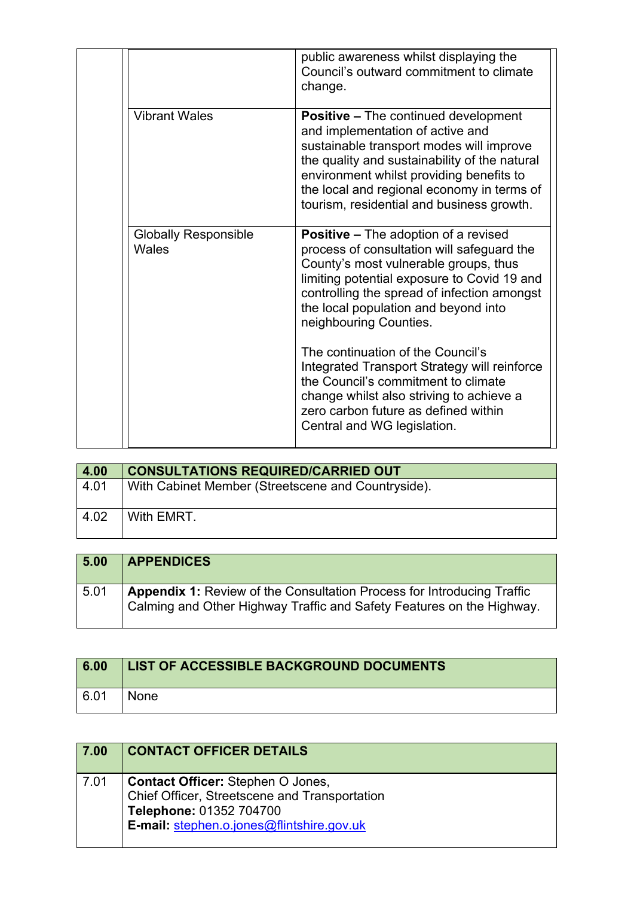|                                      | public awareness whilst displaying the<br>Council's outward commitment to climate<br>change.                                                                                                                                                                                                                        |
|--------------------------------------|---------------------------------------------------------------------------------------------------------------------------------------------------------------------------------------------------------------------------------------------------------------------------------------------------------------------|
| <b>Vibrant Wales</b>                 | <b>Positive – The continued development</b><br>and implementation of active and<br>sustainable transport modes will improve<br>the quality and sustainability of the natural<br>environment whilst providing benefits to<br>the local and regional economy in terms of<br>tourism, residential and business growth. |
| <b>Globally Responsible</b><br>Wales | <b>Positive – The adoption of a revised</b><br>process of consultation will safeguard the<br>County's most vulnerable groups, thus<br>limiting potential exposure to Covid 19 and<br>controlling the spread of infection amongst<br>the local population and beyond into<br>neighbouring Counties.                  |
|                                      | The continuation of the Council's<br>Integrated Transport Strategy will reinforce<br>the Council's commitment to climate<br>change whilst also striving to achieve a<br>zero carbon future as defined within<br>Central and WG legislation.                                                                         |

| 4.00           | <b>CONSULTATIONS REQUIRED/CARRIED OUT</b>          |
|----------------|----------------------------------------------------|
| 4.01           | With Cabinet Member (Streetscene and Countryside). |
| $ 4.02\rangle$ | With EMRT.                                         |

| 5.00 | <b>APPENDICES</b>                                                                                                                               |
|------|-------------------------------------------------------------------------------------------------------------------------------------------------|
| 5.01 | Appendix 1: Review of the Consultation Process for Introducing Traffic<br>Calming and Other Highway Traffic and Safety Features on the Highway. |

| 6.00 | LIST OF ACCESSIBLE BACKGROUND DOCUMENTS |
|------|-----------------------------------------|
| 6.01 | <b>None</b>                             |

| 7.00 | <b>CONTACT OFFICER DETAILS</b>                                                                                                                                    |
|------|-------------------------------------------------------------------------------------------------------------------------------------------------------------------|
| 7.01 | <b>Contact Officer: Stephen O Jones,</b><br>Chief Officer, Streetscene and Transportation<br>Telephone: 01352 704700<br>E-mail: stephen.o.jones@flintshire.gov.uk |